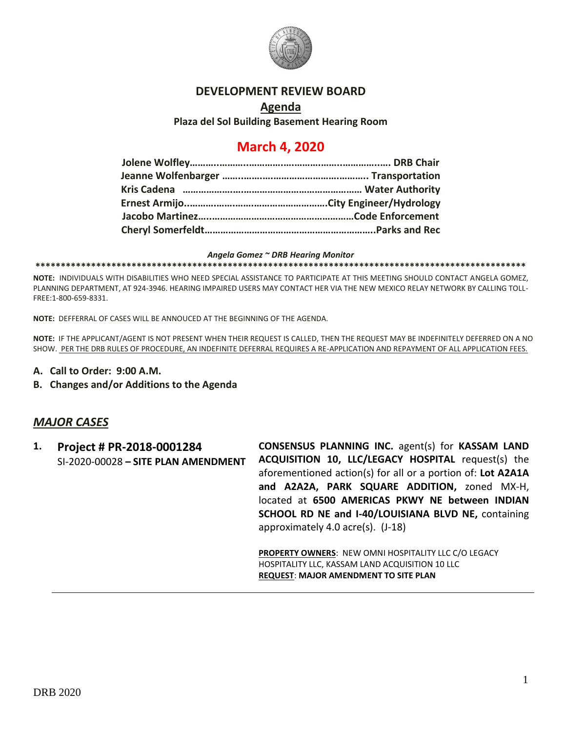

### **DEVELOPMENT REVIEW BOARD**

**Agenda Plaza del Sol Building Basement Hearing Room**

# **March 4, 2020**

*Angela Gomez ~ DRB Hearing Monitor*

**\*\*\*\*\*\*\*\*\*\*\*\*\*\*\*\*\*\*\*\*\*\*\*\*\*\*\*\*\*\*\*\*\*\*\*\*\*\*\*\*\*\*\*\*\*\*\*\*\*\*\*\*\*\*\*\*\*\*\*\*\*\*\*\*\*\*\*\*\*\*\*\*\*\*\*\*\*\*\*\*\*\*\*\*\*\*\*\*\*\*\*\*\*\*\*\*\***

**NOTE:** INDIVIDUALS WITH DISABILITIES WHO NEED SPECIAL ASSISTANCE TO PARTICIPATE AT THIS MEETING SHOULD CONTACT ANGELA GOMEZ, PLANNING DEPARTMENT, AT 924-3946. HEARING IMPAIRED USERS MAY CONTACT HER VIA THE NEW MEXICO RELAY NETWORK BY CALLING TOLL-FREE:1-800-659-8331.

**NOTE:** DEFFERRAL OF CASES WILL BE ANNOUCED AT THE BEGINNING OF THE AGENDA.

**NOTE:** IF THE APPLICANT/AGENT IS NOT PRESENT WHEN THEIR REQUEST IS CALLED, THEN THE REQUEST MAY BE INDEFINITELY DEFERRED ON A NO SHOW. PER THE DRB RULES OF PROCEDURE, AN INDEFINITE DEFERRAL REQUIRES A RE-APPLICATION AND REPAYMENT OF ALL APPLICATION FEES.

- **A. Call to Order: 9:00 A.M.**
- **B. Changes and/or Additions to the Agenda**

### *MAJOR CASES*

**1. Project # PR-2018-0001284** SI-2020-00028 **– SITE PLAN AMENDMENT CONSENSUS PLANNING INC.** agent(s) for **KASSAM LAND ACQUISITION 10, LLC/LEGACY HOSPITAL** request(s) the aforementioned action(s) for all or a portion of: **Lot A2A1A and A2A2A, PARK SQUARE ADDITION,** zoned MX-H, located at **6500 AMERICAS PKWY NE between INDIAN SCHOOL RD NE and I-40/LOUISIANA BLVD NE,** containing approximately 4.0 acre(s). (J-18)

**PROPERTY OWNERS**: NEW OMNI HOSPITALITY LLC C/O LEGACY HOSPITALITY LLC, KASSAM LAND ACQUISITION 10 LLC **REQUEST**: **MAJOR AMENDMENT TO SITE PLAN**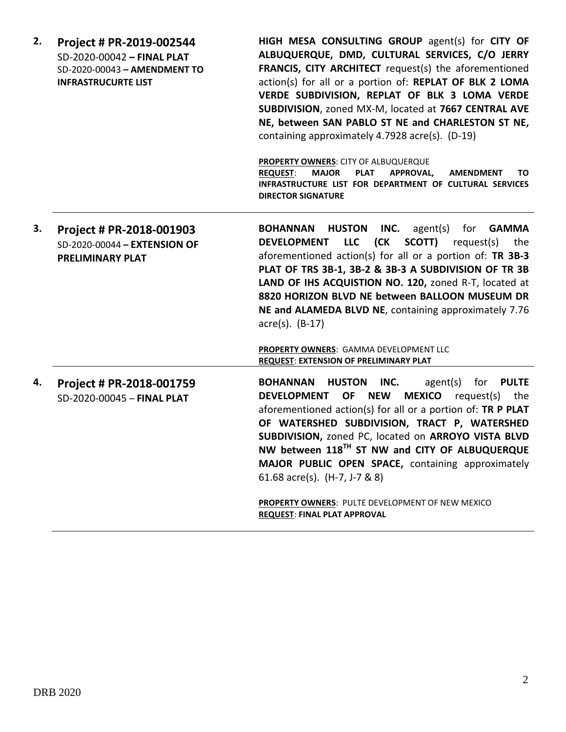| 2. | Project # PR-2019-002544<br>SD-2020-00042 - FINAL PLAT<br>SD-2020-00043 - AMENDMENT TO<br><b>INFRASTRUCURTE LIST</b> | HIGH MESA CONSULTING GROUP agent(s) for CITY OF<br>ALBUQUERQUE, DMD, CULTURAL SERVICES, C/O JERRY<br>FRANCIS, CITY ARCHITECT request(s) the aforementioned<br>action(s) for all or a portion of: REPLAT OF BLK 2 LOMA<br>VERDE SUBDIVISION, REPLAT OF BLK 3 LOMA VERDE<br>SUBDIVISION, zoned MX-M, located at 7667 CENTRAL AVE<br>NE, between SAN PABLO ST NE and CHARLESTON ST NE,<br>containing approximately 4.7928 acre(s). (D-19)<br><b>PROPERTY OWNERS: CITY OF ALBUQUERQUE</b><br><b>MAJOR</b><br><b>PLAT</b><br><b>REQUEST:</b><br>APPROVAL,<br><b>AMENDMENT</b><br>TO.<br>INFRASTRUCTURE LIST FOR DEPARTMENT OF CULTURAL SERVICES |
|----|----------------------------------------------------------------------------------------------------------------------|--------------------------------------------------------------------------------------------------------------------------------------------------------------------------------------------------------------------------------------------------------------------------------------------------------------------------------------------------------------------------------------------------------------------------------------------------------------------------------------------------------------------------------------------------------------------------------------------------------------------------------------------|
|    |                                                                                                                      | <b>DIRECTOR SIGNATURE</b>                                                                                                                                                                                                                                                                                                                                                                                                                                                                                                                                                                                                                  |
| 3. | Project # PR-2018-001903<br>SD-2020-00044 - EXTENSION OF<br><b>PRELIMINARY PLAT</b>                                  | <b>BOHANNAN</b><br><b>HUSTON</b><br>INC.<br>agent(s)<br>for<br><b>GAMMA</b><br>(CK<br><b>LLC</b><br>SCOTT)<br><b>DEVELOPMENT</b><br>request(s)<br>the<br>aforementioned action(s) for all or a portion of: TR 3B-3<br>PLAT OF TRS 3B-1, 3B-2 & 3B-3 A SUBDIVISION OF TR 3B<br>LAND OF IHS ACQUISTION NO. 120, zoned R-T, located at<br>8820 HORIZON BLVD NE between BALLOON MUSEUM DR<br>NE and ALAMEDA BLVD NE, containing approximately 7.76<br>$\arccos(5)$ . (B-17)<br><b>PROPERTY OWNERS: GAMMA DEVELOPMENT LLC</b><br><b>REQUEST: EXTENSION OF PRELIMINARY PLAT</b>                                                                  |
| 4. | Project # PR-2018-001759<br>SD-2020-00045 - FINAL PLAT                                                               | <b>HUSTON</b><br>INC.<br>agent(s)<br>for<br><b>PULTE</b><br><b>BOHANNAN</b><br><b>NEW</b><br><b>MEXICO</b> request(s)<br><b>DEVELOPMENT</b><br>OF<br>the<br>aforementioned action(s) for all or a portion of: TR P PLAT<br>OF WATERSHED SUBDIVISION, TRACT P, WATERSHED<br>SUBDIVISION, zoned PC, located on ARROYO VISTA BLVD<br>NW between 118TH ST NW and CITY OF ALBUQUERQUE<br>MAJOR PUBLIC OPEN SPACE, containing approximately<br>61.68 acre(s). $(H-7, J-7, 8, 8)$<br>PROPERTY OWNERS: PULTE DEVELOPMENT OF NEW MEXICO<br><b>REQUEST: FINAL PLAT APPROVAL</b>                                                                      |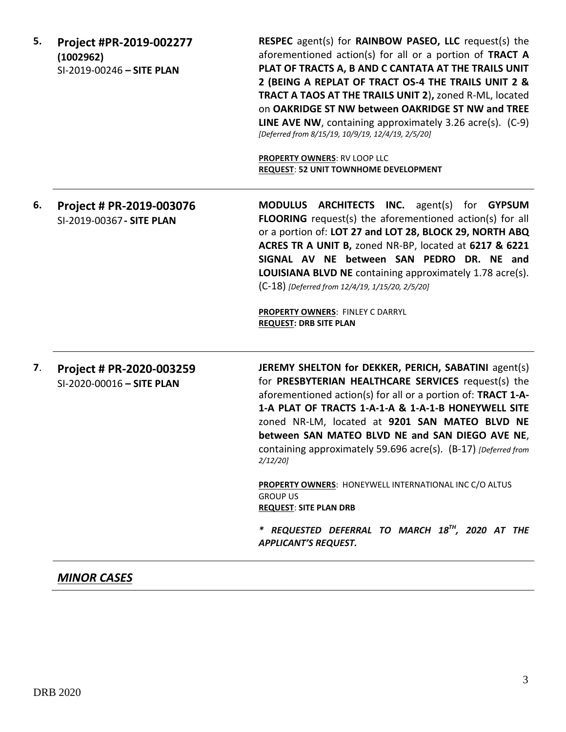| 5. | Project #PR-2019-002277<br>(1002962)<br>SI-2019-00246 - SITE PLAN | <b>RESPEC</b> agent(s) for <b>RAINBOW PASEO, LLC</b> request(s) the<br>aforementioned action(s) for all or a portion of TRACT A<br>PLAT OF TRACTS A, B AND C CANTATA AT THE TRAILS UNIT<br>2 (BEING A REPLAT OF TRACT OS-4 THE TRAILS UNIT 2 &<br>TRACT A TAOS AT THE TRAILS UNIT 2), zoned R-ML, located<br>on OAKRIDGE ST NW between OAKRIDGE ST NW and TREE<br><b>LINE AVE NW</b> , containing approximately 3.26 $\arccos 0$ . (C-9)<br>[Deferred from 8/15/19, 10/9/19, 12/4/19, 2/5/20]<br><b>PROPERTY OWNERS: RV LOOP LLC</b><br><b>REQUEST: 52 UNIT TOWNHOME DEVELOPMENT</b>                                                         |
|----|-------------------------------------------------------------------|----------------------------------------------------------------------------------------------------------------------------------------------------------------------------------------------------------------------------------------------------------------------------------------------------------------------------------------------------------------------------------------------------------------------------------------------------------------------------------------------------------------------------------------------------------------------------------------------------------------------------------------------|
| 6. | Project # PR-2019-003076<br>SI-2019-00367 - SITE PLAN             | <b>MODULUS ARCHITECTS INC.</b> agent(s) for GYPSUM<br><b>FLOORING</b> request(s) the aforementioned action(s) for all<br>or a portion of: LOT 27 and LOT 28, BLOCK 29, NORTH ABQ<br>ACRES TR A UNIT B, zoned NR-BP, located at 6217 & 6221<br>SIGNAL AV NE between SAN PEDRO DR. NE and<br>LOUISIANA BLVD NE containing approximately 1.78 acre(s).<br>(C-18) [Deferred from 12/4/19, 1/15/20, 2/5/20]<br><b>PROPERTY OWNERS: FINLEY C DARRYL</b><br><b>REQUEST: DRB SITE PLAN</b>                                                                                                                                                           |
| 7. | Project # PR-2020-003259<br>SI-2020-00016 - SITE PLAN             | JEREMY SHELTON for DEKKER, PERICH, SABATINI agent(s)<br>for PRESBYTERIAN HEALTHCARE SERVICES request(s) the<br>aforementioned action(s) for all or a portion of: TRACT 1-A-<br>1-A PLAT OF TRACTS 1-A-1-A & 1-A-1-B HONEYWELL SITE<br>zoned NR-LM, located at 9201 SAN MATEO BLVD NE<br>between SAN MATEO BLVD NE and SAN DIEGO AVE NE,<br>containing approximately 59.696 acre(s). (B-17) [Deferred from<br>$2/12/20$ ]<br><b>PROPERTY OWNERS: HONEYWELL INTERNATIONAL INC C/O ALTUS</b><br><b>GROUP US</b><br><b>REQUEST: SITE PLAN DRB</b><br>* REQUESTED DEFERRAL TO MARCH 18 <sup>TH</sup> , 2020 AT THE<br><b>APPLICANT'S REQUEST.</b> |

## *MINOR CASES*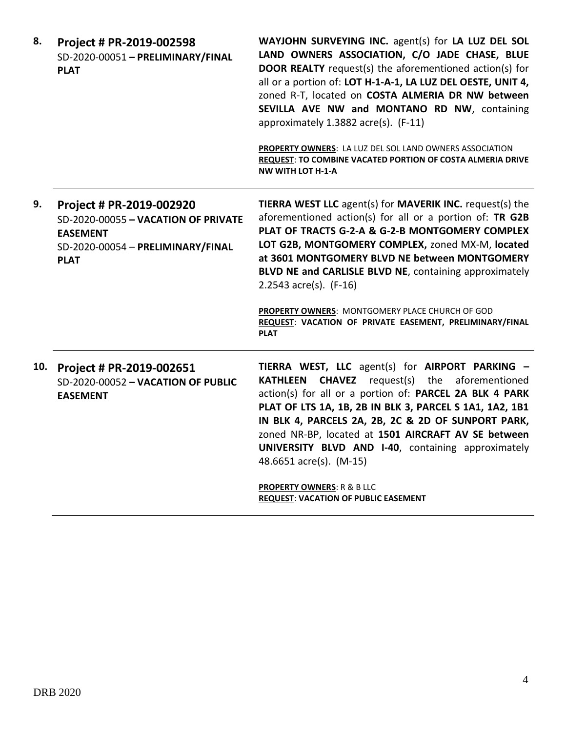| 8.  | Project # PR-2019-002598<br>SD-2020-00051 - PRELIMINARY/FINAL<br><b>PLAT</b>                                                           | WAYJOHN SURVEYING INC. agent(s) for LA LUZ DEL SOL<br>LAND OWNERS ASSOCIATION, C/O JADE CHASE, BLUE<br><b>DOOR REALTY</b> request(s) the aforementioned action(s) for<br>all or a portion of: LOT H-1-A-1, LA LUZ DEL OESTE, UNIT 4,<br>zoned R-T, located on COSTA ALMERIA DR NW between<br>SEVILLA AVE NW and MONTANO RD NW, containing<br>approximately 1.3882 acre(s). (F-11)<br>PROPERTY OWNERS: LA LUZ DEL SOL LAND OWNERS ASSOCIATION<br>REQUEST: TO COMBINE VACATED PORTION OF COSTA ALMERIA DRIVE<br><b>NW WITH LOT H-1-A</b> |
|-----|----------------------------------------------------------------------------------------------------------------------------------------|----------------------------------------------------------------------------------------------------------------------------------------------------------------------------------------------------------------------------------------------------------------------------------------------------------------------------------------------------------------------------------------------------------------------------------------------------------------------------------------------------------------------------------------|
| 9.  | Project # PR-2019-002920<br>SD-2020-00055 - VACATION OF PRIVATE<br><b>EASEMENT</b><br>SD-2020-00054 - PRELIMINARY/FINAL<br><b>PLAT</b> | TIERRA WEST LLC agent(s) for MAVERIK INC. request(s) the<br>aforementioned action(s) for all or a portion of: TR G2B<br>PLAT OF TRACTS G-2-A & G-2-B MONTGOMERY COMPLEX<br>LOT G2B, MONTGOMERY COMPLEX, zoned MX-M, located<br>at 3601 MONTGOMERY BLVD NE between MONTGOMERY<br>BLVD NE and CARLISLE BLVD NE, containing approximately<br>2.2543 $acc(s)$ . (F-16)<br>PROPERTY OWNERS: MONTGOMERY PLACE CHURCH OF GOD<br>REQUEST: VACATION OF PRIVATE EASEMENT, PRELIMINARY/FINAL<br><b>PLAT</b>                                       |
| 10. | Project # PR-2019-002651<br>SD-2020-00052 - VACATION OF PUBLIC<br><b>EASEMENT</b>                                                      | TIERRA WEST, LLC agent(s) for AIRPORT PARKING -<br><b>CHAVEZ</b> request(s) the aforementioned<br><b>KATHLEEN</b><br>action(s) for all or a portion of: PARCEL 2A BLK 4 PARK<br>PLAT OF LTS 1A, 1B, 2B IN BLK 3, PARCEL S 1A1, 1A2, 1B1<br>IN BLK 4, PARCELS 2A, 2B, 2C & 2D OF SUNPORT PARK,<br>zoned NR-BP, located at 1501 AIRCRAFT AV SE between<br>UNIVERSITY BLVD AND I-40, containing approximately<br>48.6651 acre(s). (M-15)<br><b>PROPERTY OWNERS: R &amp; B LLC</b><br><b>REQUEST: VACATION OF PUBLIC EASEMENT</b>          |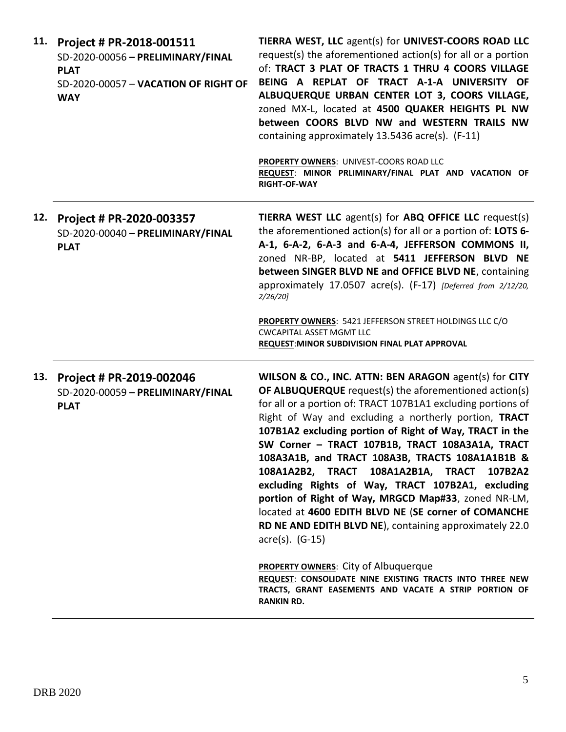| 11. | Project # PR-2018-001511<br>SD-2020-00056 - PRELIMINARY/FINAL<br><b>PLAT</b><br>SD-2020-00057 - VACATION OF RIGHT OF<br><b>WAY</b> | TIERRA WEST, LLC agent(s) for UNIVEST-COORS ROAD LLC<br>request(s) the aforementioned action(s) for all or a portion<br>of: TRACT 3 PLAT OF TRACTS 1 THRU 4 COORS VILLAGE<br>BEING A REPLAT OF TRACT A-1-A UNIVERSITY OF<br>ALBUQUERQUE URBAN CENTER LOT 3, COORS VILLAGE,<br>zoned MX-L, located at 4500 QUAKER HEIGHTS PL NW<br>between COORS BLVD NW and WESTERN TRAILS NW<br>containing approximately 13.5436 acre(s). (F-11)<br>PROPERTY OWNERS: UNIVEST-COORS ROAD LLC<br>REQUEST: MINOR PRLIMINARY/FINAL PLAT AND VACATION OF<br><b>RIGHT-OF-WAY</b>                                                                                                                                                      |
|-----|------------------------------------------------------------------------------------------------------------------------------------|------------------------------------------------------------------------------------------------------------------------------------------------------------------------------------------------------------------------------------------------------------------------------------------------------------------------------------------------------------------------------------------------------------------------------------------------------------------------------------------------------------------------------------------------------------------------------------------------------------------------------------------------------------------------------------------------------------------|
|     | 12. Project # PR-2020-003357<br>SD-2020-00040 - PRELIMINARY/FINAL<br><b>PLAT</b>                                                   | TIERRA WEST LLC agent(s) for ABQ OFFICE LLC request(s)<br>the aforementioned action(s) for all or a portion of: LOTS 6-<br>A-1, 6-A-2, 6-A-3 and 6-A-4, JEFFERSON COMMONS II,<br>zoned NR-BP, located at 5411 JEFFERSON BLVD NE<br>between SINGER BLVD NE and OFFICE BLVD NE, containing<br>approximately 17.0507 acre(s). (F-17) [Deferred from 2/12/20,<br>2/26/20                                                                                                                                                                                                                                                                                                                                             |
|     |                                                                                                                                    | PROPERTY OWNERS: 5421 JEFFERSON STREET HOLDINGS LLC C/O<br><b>CWCAPITAL ASSET MGMT LLC</b><br><b>REQUEST: MINOR SUBDIVISION FINAL PLAT APPROVAL</b>                                                                                                                                                                                                                                                                                                                                                                                                                                                                                                                                                              |
|     | 13. Project # PR-2019-002046<br>SD-2020-00059 - PRELIMINARY/FINAL<br><b>PLAT</b>                                                   | WILSON & CO., INC. ATTN: BEN ARAGON agent(s) for CITY<br>OF ALBUQUERQUE request(s) the aforementioned action(s)<br>for all or a portion of: TRACT 107B1A1 excluding portions of<br>Right of Way and excluding a northerly portion, TRACT<br>107B1A2 excluding portion of Right of Way, TRACT in the<br>SW Corner - TRACT 107B1B, TRACT 108A3A1A, TRACT<br>108A3A1B, and TRACT 108A3B, TRACTS 108A1A1B1B &<br>108A1A2B2, TRACT 108A1A2B1A, TRACT<br>107B2A2<br>excluding Rights of Way, TRACT 107B2A1, excluding<br>portion of Right of Way, MRGCD Map#33, zoned NR-LM,<br>located at 4600 EDITH BLVD NE (SE corner of COMANCHE<br>RD NE AND EDITH BLVD NE), containing approximately 22.0<br>$\arccos 0.$ (G-15) |
|     |                                                                                                                                    | <b>PROPERTY OWNERS: City of Albuquerque</b><br>REQUEST: CONSOLIDATE NINE EXISTING TRACTS INTO THREE NEW<br>TRACTS, GRANT EASEMENTS AND VACATE A STRIP PORTION OF<br><b>RANKIN RD.</b>                                                                                                                                                                                                                                                                                                                                                                                                                                                                                                                            |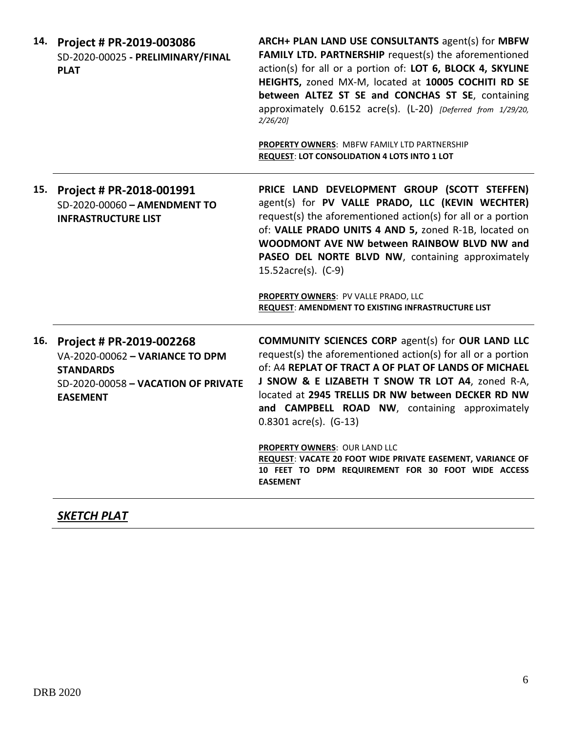|     | 14. Project # PR-2019-003086<br>SD-2020-00025 - PRELIMINARY/FINAL<br><b>PLAT</b>                                                          | ARCH+ PLAN LAND USE CONSULTANTS agent(s) for MBFW<br>FAMILY LTD. PARTNERSHIP request(s) the aforementioned<br>action(s) for all or a portion of: LOT 6, BLOCK 4, SKYLINE<br>HEIGHTS, zoned MX-M, located at 10005 COCHITI RD SE<br>between ALTEZ ST SE and CONCHAS ST SE, containing<br>approximately 0.6152 acre(s). (L-20) [Deferred from 1/29/20,<br>$2/26/20$ ]<br><b>PROPERTY OWNERS: MBFW FAMILY LTD PARTNERSHIP</b><br><b>REQUEST: LOT CONSOLIDATION 4 LOTS INTO 1 LOT</b>                                                                |
|-----|-------------------------------------------------------------------------------------------------------------------------------------------|--------------------------------------------------------------------------------------------------------------------------------------------------------------------------------------------------------------------------------------------------------------------------------------------------------------------------------------------------------------------------------------------------------------------------------------------------------------------------------------------------------------------------------------------------|
| 15. | Project # PR-2018-001991<br>SD-2020-00060 - AMENDMENT TO<br><b>INFRASTRUCTURE LIST</b>                                                    | PRICE LAND DEVELOPMENT GROUP (SCOTT STEFFEN)<br>agent(s) for PV VALLE PRADO, LLC (KEVIN WECHTER)<br>request(s) the aforementioned action(s) for all or a portion<br>of: VALLE PRADO UNITS 4 AND 5, zoned R-1B, located on<br>WOODMONT AVE NW between RAINBOW BLVD NW and<br>PASEO DEL NORTE BLVD NW, containing approximately<br>15.52acre(s). (C-9)<br>PROPERTY OWNERS: PV VALLE PRADO, LLC<br>REQUEST: AMENDMENT TO EXISTING INFRASTRUCTURE LIST                                                                                               |
| 16. | Project # PR-2019-002268<br>VA-2020-00062 - VARIANCE TO DPM<br><b>STANDARDS</b><br>SD-2020-00058 - VACATION OF PRIVATE<br><b>EASEMENT</b> | <b>COMMUNITY SCIENCES CORP agent(s) for OUR LAND LLC</b><br>request(s) the aforementioned action(s) for all or a portion<br>of: A4 REPLAT OF TRACT A OF PLAT OF LANDS OF MICHAEL<br>J SNOW & E LIZABETH T SNOW TR LOT A4, zoned R-A,<br>located at 2945 TRELLIS DR NW between DECKER RD NW<br>and CAMPBELL ROAD NW, containing approximately<br>$0.8301$ acre(s). (G-13)<br>PROPERTY OWNERS: OUR LAND LLC<br>REQUEST: VACATE 20 FOOT WIDE PRIVATE EASEMENT, VARIANCE OF<br>10 FEET TO DPM REQUIREMENT FOR 30 FOOT WIDE ACCESS<br><b>EASEMENT</b> |

# *SKETCH PLAT*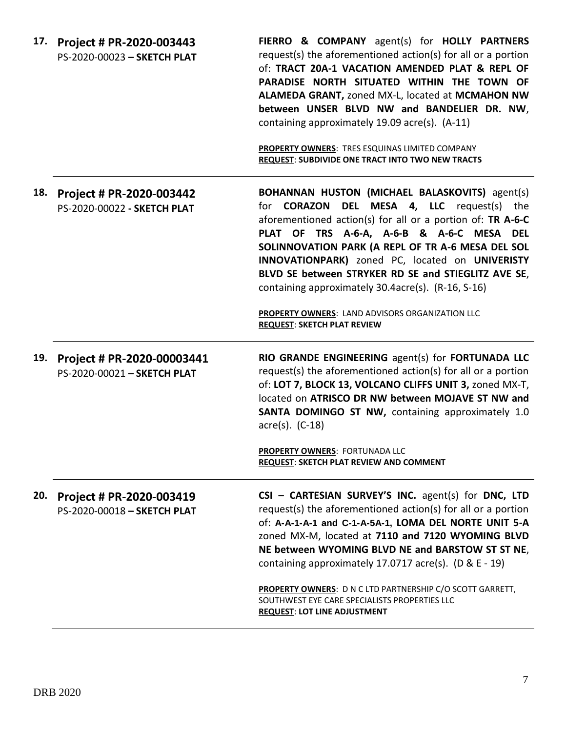| 17. | Project # PR-2020-003443<br>PS-2020-00023 - SKETCH PLAT   | FIERRO & COMPANY agent(s) for HOLLY PARTNERS<br>request(s) the aforementioned action(s) for all or a portion<br>of: TRACT 20A-1 VACATION AMENDED PLAT & REPL OF<br>PARADISE NORTH SITUATED WITHIN THE TOWN OF<br>ALAMEDA GRANT, zoned MX-L, located at MCMAHON NW<br>between UNSER BLVD NW and BANDELIER DR. NW,<br>containing approximately 19.09 acre(s). (A-11)<br>PROPERTY OWNERS: TRES ESQUINAS LIMITED COMPANY<br><b>REQUEST: SUBDIVIDE ONE TRACT INTO TWO NEW TRACTS</b>                                                                  |
|-----|-----------------------------------------------------------|--------------------------------------------------------------------------------------------------------------------------------------------------------------------------------------------------------------------------------------------------------------------------------------------------------------------------------------------------------------------------------------------------------------------------------------------------------------------------------------------------------------------------------------------------|
| 18. | Project # PR-2020-003442<br>PS-2020-00022 - SKETCH PLAT   | BOHANNAN HUSTON (MICHAEL BALASKOVITS) agent(s)<br><b>DEL MESA 4, LLC</b> request(s) the<br>for <b>CORAZON</b><br>aforementioned action(s) for all or a portion of: TR A-6-C<br>PLAT OF TRS A-6-A, A-6-B & A-6-C MESA<br><b>DEL</b><br>SOLINNOVATION PARK (A REPL OF TR A-6 MESA DEL SOL<br>INNOVATIONPARK) zoned PC, located on UNIVERISTY<br>BLVD SE between STRYKER RD SE and STIEGLITZ AVE SE,<br>containing approximately 30.4acre(s). (R-16, S-16)<br>PROPERTY OWNERS: LAND ADVISORS ORGANIZATION LLC<br><b>REQUEST: SKETCH PLAT REVIEW</b> |
| 19. | Project # PR-2020-00003441<br>PS-2020-00021 - SKETCH PLAT | RIO GRANDE ENGINEERING agent(s) for FORTUNADA LLC<br>request(s) the aforementioned action(s) for all or a portion<br>of: LOT 7, BLOCK 13, VOLCANO CLIFFS UNIT 3, zoned MX-T,<br>located on ATRISCO DR NW between MOJAVE ST NW and<br>SANTA DOMINGO ST NW, containing approximately 1.0<br>$acre(s)$ . $(C-18)$<br>PROPERTY OWNERS: FORTUNADA LLC<br>REQUEST: SKETCH PLAT REVIEW AND COMMENT                                                                                                                                                      |
| 20. | Project # PR-2020-003419<br>PS-2020-00018 - SKETCH PLAT   | CSI - CARTESIAN SURVEY'S INC. agent(s) for DNC, LTD<br>request(s) the aforementioned action(s) for all or a portion<br>of: A-A-1-A-1 and C-1-A-5A-1, LOMA DEL NORTE UNIT 5-A<br>zoned MX-M, located at 7110 and 7120 WYOMING BLVD<br>NE between WYOMING BLVD NE and BARSTOW ST ST NE,<br>containing approximately 17.0717 acre(s). ( $D & E - 19$ )<br><b>PROPERTY OWNERS: D N C LTD PARTNERSHIP C/O SCOTT GARRETT,</b><br>SOUTHWEST EYE CARE SPECIALISTS PROPERTIES LLC<br><b>REQUEST: LOT LINE ADJUSTMENT</b>                                  |